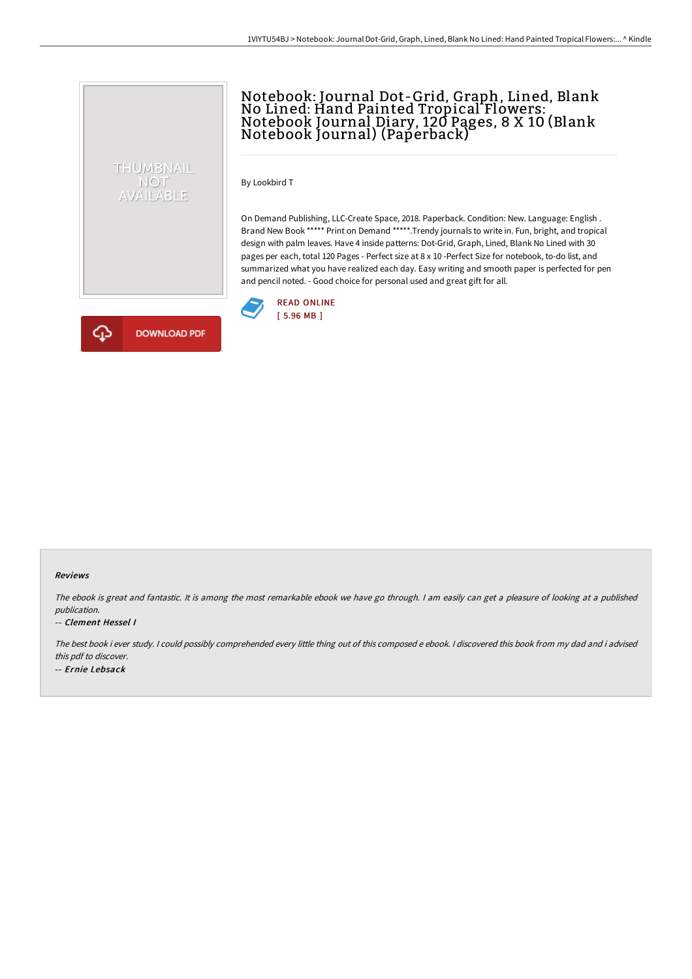# Notebook: Journal Dot-Grid, Graph, Lined, Blank No Lined: Hand Painted Tropical Flowers: Notebook Journal Diary, 120 Pages, 8 X 10 (Blank Notebook Journal) (Paperback)

By Lookbird T

On Demand Publishing, LLC-Create Space, 2018. Paperback. Condition: New. Language: English . Brand New Book \*\*\*\*\* Print on Demand \*\*\*\*\*.Trendy journals to write in. Fun, bright, and tropical design with palm leaves. Have 4 inside patterns: Dot-Grid, Graph, Lined, Blank No Lined with 30 pages per each, total 120 Pages - Perfect size at 8 x 10 -Perfect Size for notebook, to-do list, and summarized what you have realized each day. Easy writing and smooth paper is perfected for pen and pencil noted. - Good choice for personal used and great gift for all.





THUMBNAIL NOT<br>AVAILABLE

#### Reviews

The ebook is great and fantastic. It is among the most remarkable ebook we have go through. <sup>I</sup> am easily can get <sup>a</sup> pleasure of looking at <sup>a</sup> published publication.

#### -- Clement Hessel I

The best book i ever study. <sup>I</sup> could possibly comprehended every little thing out of this composed <sup>e</sup> ebook. <sup>I</sup> discovered this book from my dad and i advised this pdf to discover. -- Ernie Lebsack